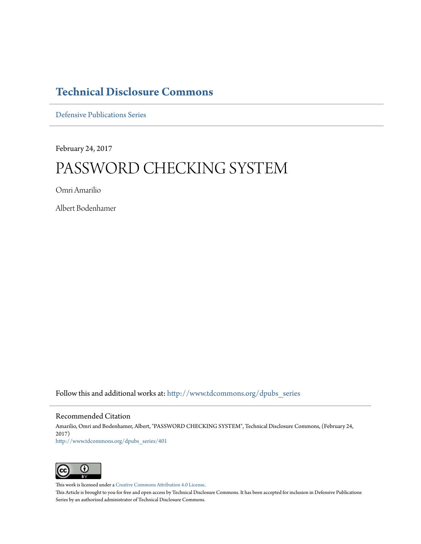## **[Technical Disclosure Commons](http://www.tdcommons.org?utm_source=www.tdcommons.org%2Fdpubs_series%2F401&utm_medium=PDF&utm_campaign=PDFCoverPages)**

[Defensive Publications Series](http://www.tdcommons.org/dpubs_series?utm_source=www.tdcommons.org%2Fdpubs_series%2F401&utm_medium=PDF&utm_campaign=PDFCoverPages)

February 24, 2017

# PASSWORD CHECKING SYSTEM

Omri Amarilio

Albert Bodenhamer

Follow this and additional works at: [http://www.tdcommons.org/dpubs\\_series](http://www.tdcommons.org/dpubs_series?utm_source=www.tdcommons.org%2Fdpubs_series%2F401&utm_medium=PDF&utm_campaign=PDFCoverPages)

#### Recommended Citation

Amarilio, Omri and Bodenhamer, Albert, "PASSWORD CHECKING SYSTEM", Technical Disclosure Commons, (February 24, 2017) [http://www.tdcommons.org/dpubs\\_series/401](http://www.tdcommons.org/dpubs_series/401?utm_source=www.tdcommons.org%2Fdpubs_series%2F401&utm_medium=PDF&utm_campaign=PDFCoverPages)



This work is licensed under a [Creative Commons Attribution 4.0 License.](http://creativecommons.org/licenses/by/4.0/deed.en_US)

This Article is brought to you for free and open access by Technical Disclosure Commons. It has been accepted for inclusion in Defensive Publications Series by an authorized administrator of Technical Disclosure Commons.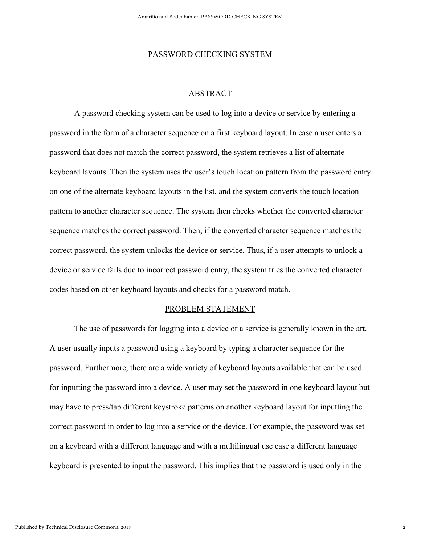#### PASSWORD CHECKING SYSTEM

### ABSTRACT

A password checking system can be used to log into a device or service by entering a password in the form of a character sequence on a first keyboard layout. In case a user enters a password that does not match the correct password, the system retrieves a list of alternate keyboard layouts. Then the system uses the user's touch location pattern from the password entry on one of the alternate keyboard layouts in the list, and the system converts the touch location pattern to another character sequence. The system then checks whether the converted character sequence matches the correct password. Then, if the converted character sequence matches the correct password, the system unlocks the device or service. Thus, if a user attempts to unlock a device or service fails due to incorrect password entry, the system tries the converted character codes based on other keyboard layouts and checks for a password match.

#### PROBLEM STATEMENT

The use of passwords for logging into a device or a service is generally known in the art. A user usually inputs a password using a keyboard by typing a character sequence for the password. Furthermore, there are a wide variety of keyboard layouts available that can be used for inputting the password into a device. A user may set the password in one keyboard layout but may have to press/tap different keystroke patterns on another keyboard layout for inputting the correct password in order to log into a service or the device. For example, the password was set on a keyboard with a different language and with a multilingual use case a different language keyboard is presented to input the password. This implies that the password is used only in the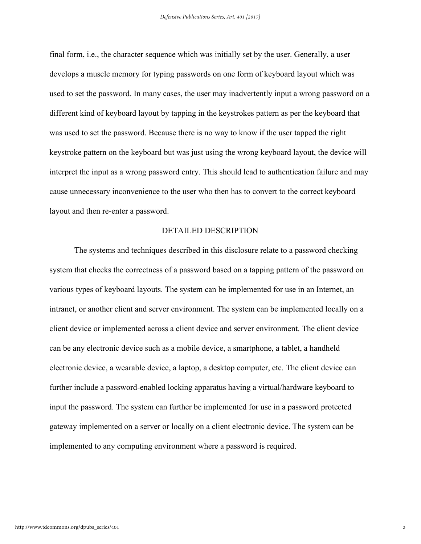final form, i.e., the character sequence which was initially set by the user. Generally, a user develops a muscle memory for typing passwords on one form of keyboard layout which was used to set the password. In many cases, the user may inadvertently input a wrong password on a different kind of keyboard layout by tapping in the keystrokes pattern as per the keyboard that was used to set the password. Because there is no way to know if the user tapped the right keystroke pattern on the keyboard but was just using the wrong keyboard layout, the device will interpret the input as a wrong password entry. This should lead to authentication failure and may cause unnecessary inconvenience to the user who then has to convert to the correct keyboard layout and then re-enter a password.

#### DETAILED DESCRIPTION

The systems and techniques described in this disclosure relate to a password checking system that checks the correctness of a password based on a tapping pattern of the password on various types of keyboard layouts. The system can be implemented for use in an Internet, an intranet, or another client and server environment. The system can be implemented locally on a client device or implemented across a client device and server environment. The client device can be any electronic device such as a mobile device, a smartphone, a tablet, a handheld electronic device, a wearable device, a laptop, a desktop computer, etc. The client device can further include a password-enabled locking apparatus having a virtual/hardware keyboard to input the password. The system can further be implemented for use in a password protected gateway implemented on a server or locally on a client electronic device. The system can be implemented to any computing environment where a password is required.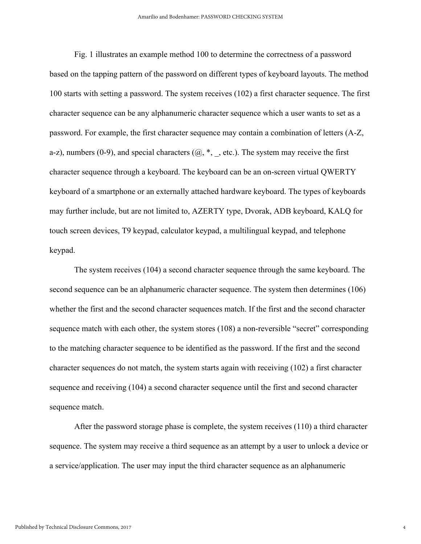Fig. 1 illustrates an example method 100 to determine the correctness of a password based on the tapping pattern of the password on different types of keyboard layouts. The method 100 starts with setting a password. The system receives (102) a first character sequence. The first character sequence can be any alphanumeric character sequence which a user wants to set as a password. For example, the first character sequence may contain a combination of letters (A-Z, a-z), numbers (0-9), and special characters  $(Q, *, \_$ , etc.). The system may receive the first character sequence through a keyboard. The keyboard can be an on-screen virtual QWERTY keyboard of a smartphone or an externally attached hardware keyboard. The types of keyboards may further include, but are not limited to, AZERTY type, Dvorak, ADB keyboard, KALQ for touch screen devices, T9 keypad, calculator keypad, a multilingual keypad, and telephone keypad.

The system receives (104) a second character sequence through the same keyboard. The second sequence can be an alphanumeric character sequence. The system then determines (106) whether the first and the second character sequences match. If the first and the second character sequence match with each other, the system stores (108) a non-reversible "secret" corresponding to the matching character sequence to be identified as the password. If the first and the second character sequences do not match, the system starts again with receiving (102) a first character sequence and receiving (104) a second character sequence until the first and second character sequence match.

After the password storage phase is complete, the system receives (110) a third character sequence. The system may receive a third sequence as an attempt by a user to unlock a device or a service/application. The user may input the third character sequence as an alphanumeric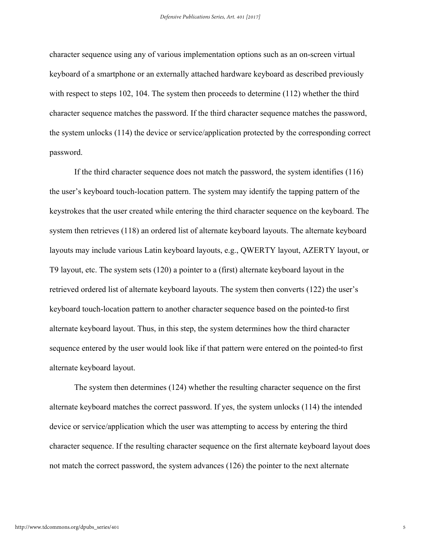character sequence using any of various implementation options such as an on-screen virtual keyboard of a smartphone or an externally attached hardware keyboard as described previously with respect to steps 102, 104. The system then proceeds to determine (112) whether the third character sequence matches the password. If the third character sequence matches the password, the system unlocks (114) the device or service/application protected by the corresponding correct password.

If the third character sequence does not match the password, the system identifies (116) the user's keyboard touch-location pattern. The system may identify the tapping pattern of the keystrokes that the user created while entering the third character sequence on the keyboard. The system then retrieves (118) an ordered list of alternate keyboard layouts. The alternate keyboard layouts may include various Latin keyboard layouts, e.g., QWERTY layout, AZERTY layout, or T9 layout, etc. The system sets (120) a pointer to a (first) alternate keyboard layout in the retrieved ordered list of alternate keyboard layouts. The system then converts (122) the user's keyboard touch-location pattern to another character sequence based on the pointed-to first alternate keyboard layout. Thus, in this step, the system determines how the third character sequence entered by the user would look like if that pattern were entered on the pointed-to first alternate keyboard layout.

The system then determines (124) whether the resulting character sequence on the first alternate keyboard matches the correct password. If yes, the system unlocks (114) the intended device or service/application which the user was attempting to access by entering the third character sequence. If the resulting character sequence on the first alternate keyboard layout does not match the correct password, the system advances (126) the pointer to the next alternate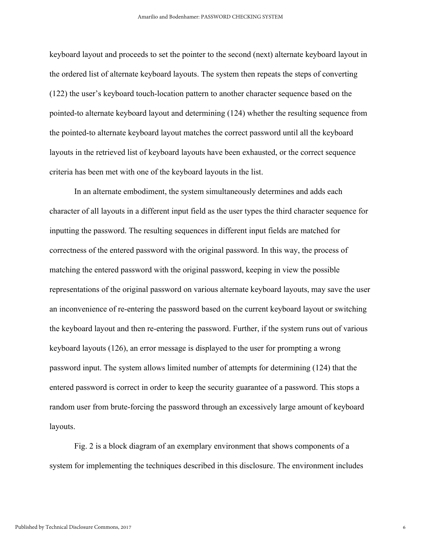keyboard layout and proceeds to set the pointer to the second (next) alternate keyboard layout in the ordered list of alternate keyboard layouts. The system then repeats the steps of converting (122) the user's keyboard touch-location pattern to another character sequence based on the pointed-to alternate keyboard layout and determining (124) whether the resulting sequence from the pointed-to alternate keyboard layout matches the correct password until all the keyboard layouts in the retrieved list of keyboard layouts have been exhausted, or the correct sequence criteria has been met with one of the keyboard layouts in the list.

In an alternate embodiment, the system simultaneously determines and adds each character of all layouts in a different input field as the user types the third character sequence for inputting the password. The resulting sequences in different input fields are matched for correctness of the entered password with the original password. In this way, the process of matching the entered password with the original password, keeping in view the possible representations of the original password on various alternate keyboard layouts, may save the user an inconvenience of re-entering the password based on the current keyboard layout or switching the keyboard layout and then re-entering the password. Further, if the system runs out of various keyboard layouts (126), an error message is displayed to the user for prompting a wrong password input. The system allows limited number of attempts for determining (124) that the entered password is correct in order to keep the security guarantee of a password. This stops a random user from brute-forcing the password through an excessively large amount of keyboard layouts.

Fig. 2 is a block diagram of an exemplary environment that shows components of a system for implementing the techniques described in this disclosure. The environment includes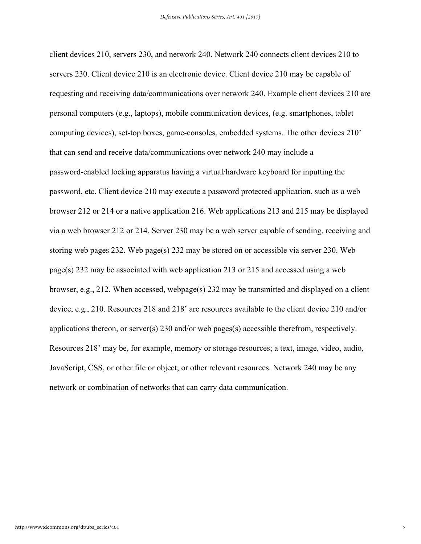client devices 210, servers 230, and network 240. Network 240 connects client devices 210 to servers 230. Client device 210 is an electronic device. Client device 210 may be capable of requesting and receiving data/communications over network 240. Example client devices 210 are personal computers (e.g., laptops), mobile communication devices, (e.g. smartphones, tablet computing devices), set-top boxes, game-consoles, embedded systems. The other devices 210' that can send and receive data/communications over network 240 may include a password-enabled locking apparatus having a virtual/hardware keyboard for inputting the password, etc. Client device 210 may execute a password protected application, such as a web browser 212 or 214 or a native application 216. Web applications 213 and 215 may be displayed via a web browser 212 or 214. Server 230 may be a web server capable of sending, receiving and storing web pages 232. Web page(s) 232 may be stored on or accessible via server 230. Web page(s)  $232$  may be associated with web application  $213$  or  $215$  and accessed using a web browser, e.g., 212. When accessed, webpage(s) 232 may be transmitted and displayed on a client device, e.g., 210. Resources 218 and 218' are resources available to the client device 210 and/or applications thereon, or server(s) 230 and/or web pages(s) accessible therefrom, respectively. Resources 218' may be, for example, memory or storage resources; a text, image, video, audio, JavaScript, CSS, or other file or object; or other relevant resources. Network 240 may be any network or combination of networks that can carry data communication.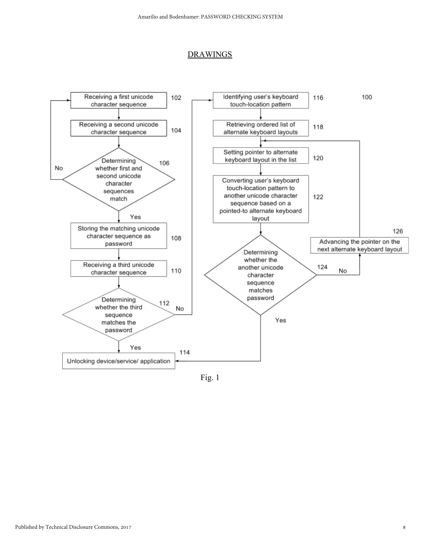#### DRAWINGS



Fig. 1